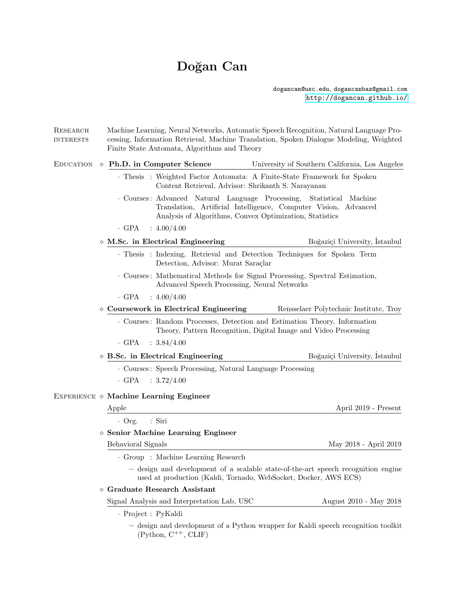# Doğan Can

dogancan@usc.edu, dogancanbaz@gmail.com <http://dogancan.github.io/>

| RESEARCH<br><b>INTERESTS</b> | Finite State Automata, Algorithms and Theory                                                                                                         | Machine Learning, Neural Networks, Automatic Speech Recognition, Natural Language Pro-<br>cessing, Information Retrieval, Machine Translation, Spoken Dialogue Modeling, Weighted |  |
|------------------------------|------------------------------------------------------------------------------------------------------------------------------------------------------|-----------------------------------------------------------------------------------------------------------------------------------------------------------------------------------|--|
| EDUCATION                    | $\Diamond$ Ph.D. in Computer Science                                                                                                                 | University of Southern California, Los Angeles                                                                                                                                    |  |
|                              |                                                                                                                                                      | · Thesis: Weighted Factor Automata: A Finite-State Framework for Spoken<br>Content Retrieval, Advisor: Shrikanth S. Narayanan                                                     |  |
|                              | Courses: Advanced Natural Language Processing,                                                                                                       | Statistical Machine<br>Translation, Artificial Intelligence, Computer Vision, Advanced<br>Analysis of Algorithms, Convex Optimization, Statistics                                 |  |
|                              | $\cdot$ GPA<br>:4.00/4.00                                                                                                                            |                                                                                                                                                                                   |  |
|                              | $\diamond$ M.Sc. in Electrical Engineering                                                                                                           | Boğaziçi University, Istanbul                                                                                                                                                     |  |
|                              | Detection, Advisor: Murat Saraçlar                                                                                                                   | · Thesis: Indexing, Retrieval and Detection Techniques for Spoken Term                                                                                                            |  |
|                              |                                                                                                                                                      | Courses: Mathematical Methods for Signal Processing, Spectral Estimation,<br>Advanced Speech Processing, Neural Networks                                                          |  |
|                              | · GPA<br>$\therefore 4.00/4.00$                                                                                                                      |                                                                                                                                                                                   |  |
|                              | $\diamond$ Coursework in Electrical Engineering                                                                                                      | Rensselaer Polytechnic Institute, Troy                                                                                                                                            |  |
|                              |                                                                                                                                                      | . Courses: Random Processes, Detection and Estimation Theory, Information<br>Theory, Pattern Recognition, Digital Image and Video Processing                                      |  |
|                              | $\cdot$ GPA : 3.84/4.00                                                                                                                              |                                                                                                                                                                                   |  |
|                              | $\diamond$ B.Sc. in Electrical Engineering                                                                                                           | Boğaziçi University, Istanbul                                                                                                                                                     |  |
|                              | • Courses: Speech Processing, Natural Language Processing                                                                                            |                                                                                                                                                                                   |  |
|                              | $\cdot$ GPA : 3.72/4.00                                                                                                                              |                                                                                                                                                                                   |  |
|                              | EXPERIENCE $\diamond$ Machine Learning Engineer                                                                                                      |                                                                                                                                                                                   |  |
|                              | Apple                                                                                                                                                | April 2019 - Present                                                                                                                                                              |  |
|                              | : Siri<br>$\cdot$ Org.                                                                                                                               |                                                                                                                                                                                   |  |
|                              | $\diamond$ Senior Machine Learning Engineer                                                                                                          |                                                                                                                                                                                   |  |
|                              | Behavioral Signals                                                                                                                                   | May 2018 - April 2019                                                                                                                                                             |  |
|                              | · Group : Machine Learning Research                                                                                                                  |                                                                                                                                                                                   |  |
|                              | - design and development of a scalable state-of-the-art speech recognition engine<br>used at production (Kaldi, Tornado, WebSocket, Docker, AWS ECS) |                                                                                                                                                                                   |  |
|                              | $\diamond$ Graduate Research Assistant                                                                                                               |                                                                                                                                                                                   |  |
|                              | Signal Analysis and Interpretation Lab, USC                                                                                                          | August 2010 - May 2018                                                                                                                                                            |  |
|                              | · Project : PyKaldi                                                                                                                                  |                                                                                                                                                                                   |  |
|                              | - design and development of a Python wrapper for Kaldi speech recognition toolkit                                                                    |                                                                                                                                                                                   |  |

 $(Python, C^{++}, CLIF)$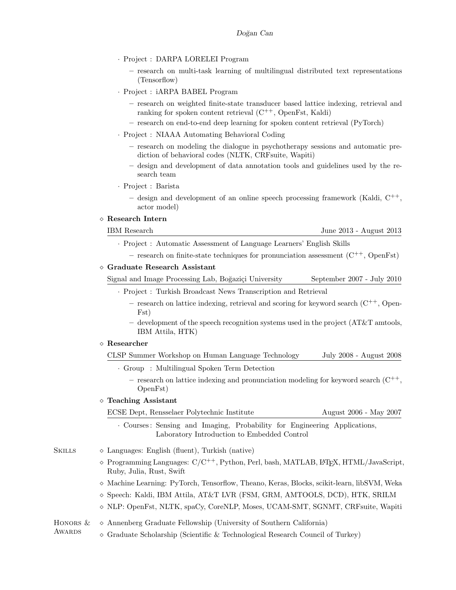- · Project : DARPA LORELEI Program
	- research on multi-task learning of multilingual distributed text representations (Tensorflow)
- · Project : iARPA BABEL Program
	- research on weighted finite-state transducer based lattice indexing, retrieval and ranking for spoken content retrieval  $(C^{++},$  OpenFst, Kaldi)
	- research on end-to-end deep learning for spoken content retrieval (PyTorch)
- · Project : NIAAA Automating Behavioral Coding
	- research on modeling the dialogue in psychotherapy sessions and automatic prediction of behavioral codes (NLTK, CRFsuite, Wapiti)
	- design and development of data annotation tools and guidelines used by the research team
- · Project : Barista
	- design and development of an online speech processing framework (Kaldi,  $C^{++}$ , actor model)

#### Research Intern

IBM Research June 2013 - August 2013

L<sup>A</sup>T<sub>E</sub>X, HTML/JavaScript,

- · Project : Automatic Assessment of Language Learners' English Skills
	- research on finite-state techniques for pronunciation assessment  $(C^{++},$  OpenFst)

#### Graduate Research Assistant

Signal and Image Processing Lab, Boğaziçi University September 2007 - July 2010

- · Project : Turkish Broadcast News Transcription and Retrieval
	- $-$  research on lattice indexing, retrieval and scoring for keyword search  $(C^{++},$  Open-Fst)
	- $-$  development of the speech recognition systems used in the project (AT&T amtools, IBM Attila, HTK)

## Researcher

- CLSP Summer Workshop on Human Language Technology July 2008 August 2008
	- · Group : Multilingual Spoken Term Detection
		- research on lattice indexing and pronunciation modeling for keyword search  $(C^{++},$ OpenFst)

## Teaching Assistant

ECSE Dept, Rensselaer Polytechnic Institute August 2006 - May 2007

· Courses : Sensing and Imaging, Probability for Engineering Applications, Laboratory Introduction to Embedded Control

| Skills | $\Diamond$ Languages: English (fluent), Turkish (native)                   |
|--------|----------------------------------------------------------------------------|
|        | $\Diamond$ Programming Languages: $C/C^{++}$ , Python, Perl, bash, MATLAB, |
|        | Ruby, Julia, Rust, Swift                                                   |

- $\diamond$  Machine Learning: PyTorch, Tensorflow, Theano, Keras, Blocks, scikit-learn, libSVM, Weka
- $\Diamond$  Speech: Kaldi, IBM Attila, AT&T LVR (FSM, GRM, AMTOOLS, DCD), HTK, SRILM
- $\Diamond$  NLP: OpenFst, NLTK, spaCy, CoreNLP, Moses, UCAM-SMT, SGNMT, CRFsuite, Wapiti

#### HONORS  $\&\diamond$  Annenberg Graduate Fellowship (University of Southern California)

AWARDS  $\Diamond$  Graduate Scholarship (Scientific & Technological Research Council of Turkey)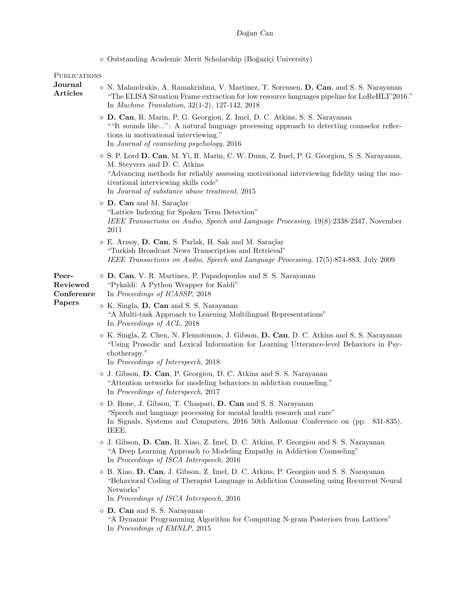|                                           | ◇ Outstanding Academic Merit Scholarship (Boğaziçi University)                                                                                                                                                                                                                                                                      |
|-------------------------------------------|-------------------------------------------------------------------------------------------------------------------------------------------------------------------------------------------------------------------------------------------------------------------------------------------------------------------------------------|
| <b>PUBLICATIONS</b>                       |                                                                                                                                                                                                                                                                                                                                     |
| Journal<br><b>Articles</b>                | $\diamond$ N. Malandrakis, A. Ramakrishna, V. Martinez, T. Sorensen, D. Can, and S. S. Narayanan<br>"The ELISA Situation Frame extraction for low resource languages pipeline for LoReHLT'2016."<br>In <i>Machine Translation</i> , 32(1-2), 127-142, 2018                                                                          |
|                                           | ◇ D. Can, R. Marin, P. G. Georgiou, Z. Imel, D. C. Atkins, S. S. Narayanan<br>"It sounds like": A natural language processing approach to detecting counselor reflec-<br>tions in motivational interviewing."<br>In Journal of counseling psychology, 2016                                                                          |
|                                           | $\Diamond$ S. P. Lord <b>D. Can</b> , M. Yi, R. Marin, C. W. Dunn, Z. Imel, P. G. Georgiou, S. S. Narayanan,<br>M. Steyvers and D. C. Atkins<br>"Advancing methods for reliably assessing motivational interviewing fidelity using the mo-<br>tivational interviewing skills code"<br>In Journal of substance abuse treatment, 2015 |
|                                           | $\diamond$ <b>D.</b> Can and M. Saraçlar<br>"Lattice Indexing for Spoken Term Detection"<br>IEEE Transactions on Audio, Speech and Language Processing, 19(8):2338-2347, November<br>2011                                                                                                                                           |
|                                           | ◇ E. Arısoy, D. Can, S. Parlak, H. Sak and M. Saraçlar<br>"Turkish Broadcast News Transcription and Retrieval"<br>IEEE Transactions on Audio, Speech and Language Processing, 17(5):874-883, July 2009                                                                                                                              |
| Peer-<br>Reviewed<br>Conference<br>Papers | $\diamond$ D. Can, V. R. Martinez, P. Papadopoulos and S. S. Narayanan<br>"Pykaldi: A Python Wrapper for Kaldi"<br>In Proceedings of ICASSP, 2018                                                                                                                                                                                   |
|                                           | $\diamond$ K. Singla, <b>D. Can</b> and S. S. Narayanan<br>"A Multi-task Approach to Learning Multilingual Representations"<br>In Proceedings of ACL, 2018                                                                                                                                                                          |
|                                           | $\diamond$ K. Singla, Z. Chen, N. Flemotomos, J. Gibson, D. Can, D. C. Atkins and S. S. Narayanan<br>"Using Prosodic and Lexical Information for Learning Utterance-level Behaviors in Psy-<br>chotherapy."<br>In Proceedings of Interspeech, 2018                                                                                  |
|                                           | $\diamond$ J. Gibson, D. Can, P. Georgiou, D. C. Atkins and S. S. Narayanan<br>"Attention networks for modeling behaviors in addiction counseling."<br>In Proceedings of Interspeech, 2017                                                                                                                                          |
|                                           | $\diamond$ D. Bone, J. Gibson, T. Chaspari, D. Can and S. S. Narayanan<br>"Speech and language processing for mental health research and care"<br>In Signals, Systems and Computers, 2016 50th Asilomar Conference on (pp. 831-835).<br>IEEE.                                                                                       |
|                                           | $\diamond$ J. Gibson, D. Can, B. Xiao, Z. Imel, D. C. Atkins, P. Georgiou and S. S. Narayanan<br>"A Deep Learning Approach to Modeling Empathy in Addiction Counseling"<br>In Proceedings of ISCA Interspeech, 2016                                                                                                                 |
|                                           | ◇ B. Xiao, D. Can, J. Gibson, Z. Imel, D. C. Atkins, P. Georgiou and S. S. Narayanan<br>"Behavioral Coding of Therapist Language in Addiction Counseling using Recurrent Neural<br>Networks"<br>In Proceedings of ISCA Interspeech, 2016                                                                                            |
|                                           | $\diamond$ <b>D. Can</b> and S. S. Narayanan<br>"A Dynamic Programming Algorithm for Computing N-gram Posteriors from Lattices"<br>In Proceedings of EMNLP, 2015                                                                                                                                                                    |